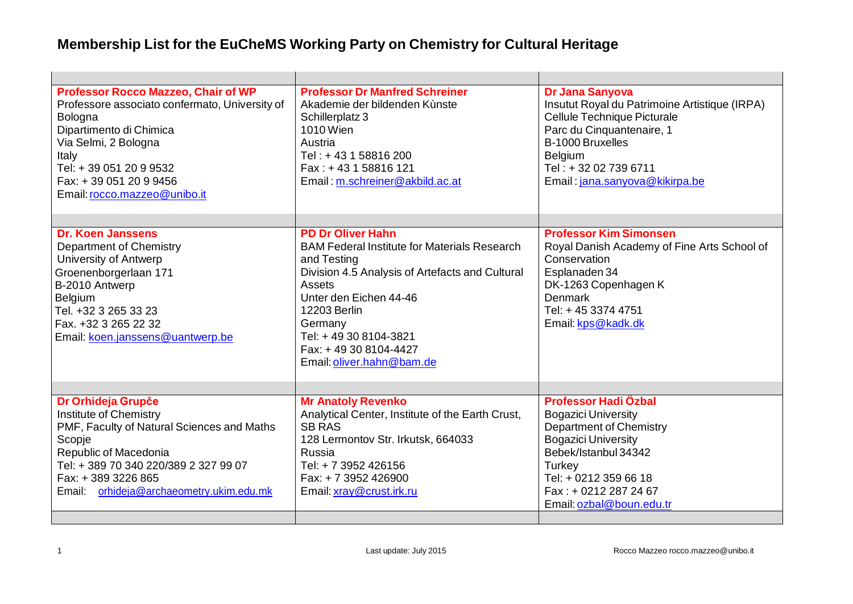## **Membership List for the EuCheMS Working Party on Chemistry for Cultural Heritage**

| <b>Professor Rocco Mazzeo, Chair of WP</b>     | <b>Professor Dr Manfred Schreiner</b>               | Dr Jana Sanyova                               |
|------------------------------------------------|-----------------------------------------------------|-----------------------------------------------|
| Professore associato confermato, University of | Akademie der bildenden Kùnste                       | Insutut Royal du Patrimoine Artistique (IRPA) |
| Bologna                                        | Schillerplatz 3                                     | Cellule Technique Picturale                   |
| Dipartimento di Chimica                        | 1010 Wien                                           | Parc du Cinquantenaire, 1                     |
| Via Selmi, 2 Bologna                           | Austria                                             | B-1000 Bruxelles                              |
| Italy                                          | Tel: +43 1 58816 200                                | Belgium                                       |
| Tel: +39 051 20 9 9532                         | Fax: +43 1 58816 121                                | Tel: +32 02 739 6711                          |
| Fax: +39 051 20 9 9456                         | Email: m.schreiner@akbild.ac.at                     | Email: jana.sanyova@kikirpa.be                |
| Email: rocco.mazzeo@unibo.it                   |                                                     |                                               |
|                                                |                                                     |                                               |
| <b>Dr. Koen Janssens</b>                       | <b>PD Dr Oliver Hahn</b>                            | <b>Professor Kim Simonsen</b>                 |
| Department of Chemistry                        | <b>BAM Federal Institute for Materials Research</b> | Royal Danish Academy of Fine Arts School of   |
| University of Antwerp                          | and Testing                                         | Conservation                                  |
| Groenenborgerlaan 171                          | Division 4.5 Analysis of Artefacts and Cultural     | Esplanaden 34                                 |
| B-2010 Antwerp                                 | Assets                                              | DK-1263 Copenhagen K                          |
| Belgium                                        | Unter den Eichen 44-46                              | Denmark                                       |
| Tel. +32 3 265 33 23                           | 12203 Berlin                                        | Tel: +45 3374 4751                            |
| Fax. +32 3 265 22 32                           | Germany                                             | Email: kps@kadk.dk                            |
| Email: koen.janssens@uantwerp.be               | Tel: +49 30 8104-3821<br>Fax: +49 30 8104-4427      |                                               |
|                                                |                                                     |                                               |
|                                                | Email: oliver.hahn@bam.de                           |                                               |
|                                                |                                                     |                                               |
| Dr Orhideja Grupče                             | <b>Mr Anatoly Revenko</b>                           | Professor Hadi Özbal                          |
| Institute of Chemistry                         | Analytical Center, Institute of the Earth Crust,    | <b>Bogazici University</b>                    |
| PMF, Faculty of Natural Sciences and Maths     | <b>SB RAS</b>                                       | Department of Chemistry                       |
| Scopje                                         | 128 Lermontov Str. Irkutsk, 664033                  | <b>Bogazici University</b>                    |
| Republic of Macedonia                          | Russia                                              | Bebek/Istanbul 34342                          |
| Tel: +389 70 340 220/389 2 327 99 07           | Tel: + 7 3952 426156                                | Turkey                                        |
| Fax: +389 3226 865                             | Fax: +7 3952 426900                                 | Tel: + 0212 359 66 18                         |
| Email: orhideja@archaeometry.ukim.edu.mk       | Email: xray@crust.irk.ru                            | Fax: + 0212 287 24 67                         |
|                                                |                                                     | Email: ozbal@boun.edu.tr                      |
|                                                |                                                     |                                               |